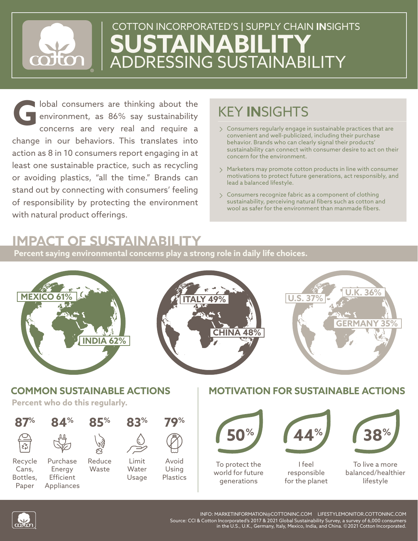

# **JSTAINABILIT** ADDRESSING SUSTAINABILITY COTTON INCORPORATED'S **|** SUPPLY CHAIN **IN**SIGHTS

lobal consumers are thinking about the environment, as 86% say sustainability concerns are very real and require a change in our behaviors. This translates into action as 8 in 10 consumers report engaging in at least one sustainable practice, such as recycling or avoiding plastics, "all the time." Brands can stand out by connecting with consumers' feeling of responsibility by protecting the environment with natural product offerings. **G**

## KEY **IN**SIGHTS

- $\geq$  Consumers regularly engage in sustainable practices that are convenient and well-publicized, including their purchase behavior. Brands who can clearly signal their products' sustainability can connect with consumer desire to act on their concern for the environment.
- Marketers may promote cotton products in line with consumer motivations to protect future generations, act responsibly, and lead a balanced lifestyle.
- Consumers recognize fabric as a component of clothing sustainability, perceiving natural fibers such as cotton and wool as safer for the environment than manmade fibers.

### **IMPACT OF SUSTAINABILITY**

**Percent saying environmental concerns play a strong role in daily life choices.**





INFO: MARKETINFORMATION@COTTONINC.COM LIFESTYLEMONITOR.COTTONINC.COM Source: CCI & Cotton Incorporated's 2017 & 2021 Global Sustainability Survey, a survey of 6,000 consumers in the U.S., U.K., Germany, Italy, Mexico, India, and China. ©2021 Cotton Incorporated.